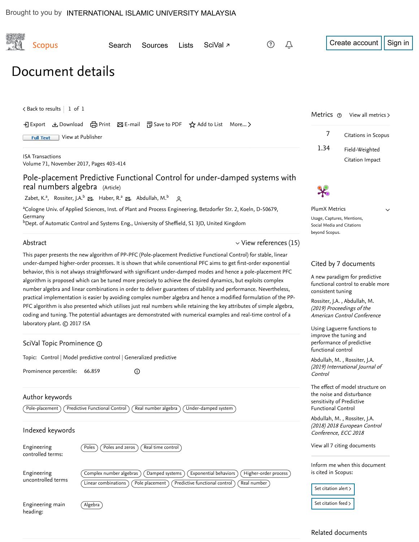| <b>Scopus</b>                                                                                                                                                                                                                                                                                                                                                                                                                                                                                                                                                                                                                                                                                                                                                                                                                                                                                                                                                                                                                               | Search                                         | Sources                          | <b>Lists</b> | SciVal <sub>7</sub>                                    |                                     | Û                                                                                                                                                                                                                                                                                                                                                                                                                       |                                                                   | Create account                                                                                                                | Sign in |
|---------------------------------------------------------------------------------------------------------------------------------------------------------------------------------------------------------------------------------------------------------------------------------------------------------------------------------------------------------------------------------------------------------------------------------------------------------------------------------------------------------------------------------------------------------------------------------------------------------------------------------------------------------------------------------------------------------------------------------------------------------------------------------------------------------------------------------------------------------------------------------------------------------------------------------------------------------------------------------------------------------------------------------------------|------------------------------------------------|----------------------------------|--------------|--------------------------------------------------------|-------------------------------------|-------------------------------------------------------------------------------------------------------------------------------------------------------------------------------------------------------------------------------------------------------------------------------------------------------------------------------------------------------------------------------------------------------------------------|-------------------------------------------------------------------|-------------------------------------------------------------------------------------------------------------------------------|---------|
| Document details                                                                                                                                                                                                                                                                                                                                                                                                                                                                                                                                                                                                                                                                                                                                                                                                                                                                                                                                                                                                                            |                                                |                                  |              |                                                        |                                     |                                                                                                                                                                                                                                                                                                                                                                                                                         |                                                                   |                                                                                                                               |         |
| $\lt$ Back to results   1 of 1<br>→ Export & Download 금 Print ⊠ E-mail 可 Save to PDF ☆ Add to List More ><br>View at Publisher<br><b>Full Text</b>                                                                                                                                                                                                                                                                                                                                                                                                                                                                                                                                                                                                                                                                                                                                                                                                                                                                                          |                                                |                                  |              |                                                        |                                     |                                                                                                                                                                                                                                                                                                                                                                                                                         | Metrics $\circ$<br>View all metrics ><br>7<br>Citations in Scopus |                                                                                                                               |         |
| <b>ISA Transactions</b><br>Volume 71, November 2017, Pages 403-414                                                                                                                                                                                                                                                                                                                                                                                                                                                                                                                                                                                                                                                                                                                                                                                                                                                                                                                                                                          |                                                |                                  |              |                                                        |                                     | 1.34                                                                                                                                                                                                                                                                                                                                                                                                                    | Field-Weighted<br>Citation Impact                                 |                                                                                                                               |         |
| Pole-placement Predictive Functional Control for under-damped systems with<br>real numbers algebra (Article)<br>Zabet, K. <sup>a</sup> , Rossiter, J.A. <sup>b</sup> & Haber, R. <sup>a</sup> & Abdullah, M. <sup>b</sup> Q<br><sup>a</sup> Cologne Univ. of Applied Sciences, Inst. of Plant and Process Engineering, Betzdorfer Str. 2, Koeln, D-50679,<br>Germany<br><sup>b</sup> Dept. of Automatic Control and Systems Eng., University of Sheffield, S1 3JD, United Kingdom                                                                                                                                                                                                                                                                                                                                                                                                                                                                                                                                                           |                                                |                                  |              |                                                        |                                     | <b>PlumX Metrics</b><br>$\checkmark$<br>Usage, Captures, Mentions,<br>Social Media and Citations                                                                                                                                                                                                                                                                                                                        |                                                                   |                                                                                                                               |         |
| Abstract<br>$\vee$ View references (15)<br>This paper presents the new algorithm of PP-PFC (Pole-placement Predictive Functional Control) for stable, linear<br>under-damped higher-order processes. It is shown that while conventional PFC aims to get first-order exponential<br>behavior, this is not always straightforward with significant under-damped modes and hence a pole-placement PFC<br>algorithm is proposed which can be tuned more precisely to achieve the desired dynamics, but exploits complex<br>number algebra and linear combinations in order to deliver guarantees of stability and performance. Nevertheless,<br>practical implementation is easier by avoiding complex number algebra and hence a modified formulation of the PP-<br>PFC algorithm is also presented which utilises just real numbers while retaining the key attributes of simple algebra,<br>coding and tuning. The potential advantages are demonstrated with numerical examples and real-time control of a<br>laboratory plant. C 2017 ISA |                                                |                                  |              |                                                        |                                     | beyond Scopus.<br>Cited by 7 documents<br>A new paradigm for predictive<br>functional control to enable more<br>consistent tuning<br>Rossiter, J.A., Abdullah, M.<br>(2019) Proceedings of the<br>American Control Conference<br>Using Laguerre functions to<br>improve the tuning and<br>performance of predictive<br>functional control<br>Abdullah, M., Rossiter, J.A.<br>(2019) International Journal of<br>Control |                                                                   |                                                                                                                               |         |
| SciVal Topic Prominence @<br>Topic: Control   Model predictive control   Generalized predictive<br>Prominence percentile: 66.859<br>$\odot$                                                                                                                                                                                                                                                                                                                                                                                                                                                                                                                                                                                                                                                                                                                                                                                                                                                                                                 |                                                |                                  |              |                                                        |                                     |                                                                                                                                                                                                                                                                                                                                                                                                                         |                                                                   |                                                                                                                               |         |
| Author keywords<br>Pole-placement                                                                                                                                                                                                                                                                                                                                                                                                                                                                                                                                                                                                                                                                                                                                                                                                                                                                                                                                                                                                           | Predictive Functional Control                  | Real number algebra              |              | Under-damped system                                    |                                     |                                                                                                                                                                                                                                                                                                                                                                                                                         | sensitivity of Predictive<br><b>Functional Control</b>            | The effect of model structure on<br>the noise and disturbance<br>Abdullah, M., Rossiter, J.A.<br>(2018) 2018 European Control |         |
| Indexed keywords<br>Engineering<br>controlled terms:                                                                                                                                                                                                                                                                                                                                                                                                                                                                                                                                                                                                                                                                                                                                                                                                                                                                                                                                                                                        | Poles and zeros<br>Poles                       | Real time control                |              |                                                        |                                     |                                                                                                                                                                                                                                                                                                                                                                                                                         | Conference, ECC 2018                                              | View all 7 citing documents                                                                                                   |         |
| Engineering<br>uncontrolled terms                                                                                                                                                                                                                                                                                                                                                                                                                                                                                                                                                                                                                                                                                                                                                                                                                                                                                                                                                                                                           | Complex number algebras<br>Linear combinations | Damped systems<br>Pole placement |              | Exponential behaviors<br>Predictive functional control | Higher-order process<br>Real number |                                                                                                                                                                                                                                                                                                                                                                                                                         | is cited in Scopus:<br>Set citation alert >                       | Inform me when this document                                                                                                  |         |

Engineering main heading:

Related documents

[Set citation feed](https://www.scopus.com/results/rss/handler.uri?citeEid=2-s2.0-85028557203)  $\mathord{\succ}$